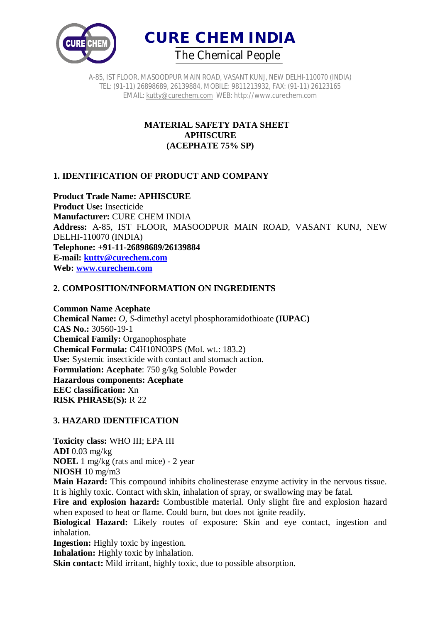



A-85, IST FLOOR, MASOODPUR MAIN ROAD, VASANT KUNJ, NEW DELHI-110070 (INDIA) TEL: (91-11) 26898689, 26139884, MOBILE: 9811213932, FAX: (91-11) 26123165 EMAIL: kutty@curechem.com WEB: http://www.curechem.com

## **MATERIAL SAFETY DATA SHEET APHISCURE (ACEPHATE 75% SP)**

# **1. IDENTIFICATION OF PRODUCT AND COMPANY**

**Product Trade Name: APHISCURE Product Use:** Insecticide **Manufacturer:** CURE CHEM INDIA **Address:** A-85, IST FLOOR, MASOODPUR MAIN ROAD, VASANT KUNJ, NEW DELHI-110070 (INDIA) **Telephone: +91-11-26898689/26139884 E-mail: kutty@curechem.com Web: www.curechem.com**

### **2. COMPOSITION/INFORMATION ON INGREDIENTS**

**Common Name Acephate Chemical Name:** *O, S-*dimethyl acetyl phosphoramidothioate **(IUPAC) CAS No.:** 30560-19-1 **Chemical Family:** Organophosphate **Chemical Formula:** C4H10NO3PS (Mol. wt.: 183.2) **Use:** Systemic insecticide with contact and stomach action. **Formulation: Acephate**: 750 g/kg Soluble Powder **Hazardous components: Acephate EEC classification:** Xn **RISK PHRASE(S):** R 22

### **3. HAZARD IDENTIFICATION**

**Toxicity class:** WHO III; EPA III **ADI** 0.03 mg/kg **NOEL** 1 mg/kg (rats and mice) - 2 year **NIOSH** 10 mg/m3

**Main Hazard:** This compound inhibits cholinesterase enzyme activity in the nervous tissue. It is highly toxic. Contact with skin, inhalation of spray, or swallowing may be fatal.

Fire and explosion hazard: Combustible material. Only slight fire and explosion hazard when exposed to heat or flame. Could burn, but does not ignite readily.

**Biological Hazard:** Likely routes of exposure: Skin and eye contact, ingestion and inhalation.

**Ingestion:** Highly toxic by ingestion.

**Inhalation:** Highly toxic by inhalation.

**Skin contact:** Mild irritant, highly toxic, due to possible absorption.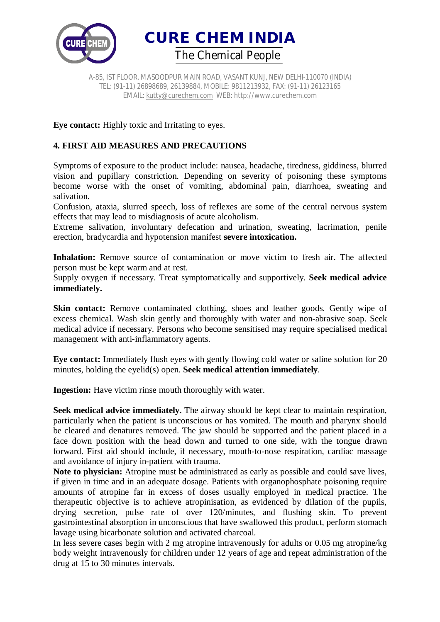

A-85, IST FLOOR, MASOODPUR MAIN ROAD, VASANT KUNJ, NEW DELHI-110070 (INDIA) TEL: (91-11) 26898689, 26139884, MOBILE: 9811213932, FAX: (91-11) 26123165 EMAIL: kutty@curechem.com WEB: http://www.curechem.com

**Eye contact:** Highly toxic and Irritating to eyes.

### **4. FIRST AID MEASURES AND PRECAUTIONS**

Symptoms of exposure to the product include: nausea, headache, tiredness, giddiness, blurred vision and pupillary constriction. Depending on severity of poisoning these symptoms become worse with the onset of vomiting, abdominal pain, diarrhoea, sweating and salivation.

Confusion, ataxia, slurred speech, loss of reflexes are some of the central nervous system effects that may lead to misdiagnosis of acute alcoholism.

Extreme salivation, involuntary defecation and urination, sweating, lacrimation, penile erection, bradycardia and hypotension manifest **severe intoxication.**

Inhalation: Remove source of contamination or move victim to fresh air. The affected person must be kept warm and at rest.

Supply oxygen if necessary. Treat symptomatically and supportively. **Seek medical advice immediately.**

**Skin contact:** Remove contaminated clothing, shoes and leather goods. Gently wipe of excess chemical. Wash skin gently and thoroughly with water and non-abrasive soap. Seek medical advice if necessary. Persons who become sensitised may require specialised medical management with anti-inflammatory agents.

**Eye contact:** Immediately flush eyes with gently flowing cold water or saline solution for 20 minutes, holding the eyelid(s) open. **Seek medical attention immediately**.

**Ingestion:** Have victim rinse mouth thoroughly with water.

**Seek medical advice immediately.** The airway should be kept clear to maintain respiration, particularly when the patient is unconscious or has vomited. The mouth and pharynx should be cleared and denatures removed. The jaw should be supported and the patient placed in a face down position with the head down and turned to one side, with the tongue drawn forward. First aid should include, if necessary, mouth-to-nose respiration, cardiac massage and avoidance of injury in-patient with trauma.

**Note to physician:** Atropine must be administrated as early as possible and could save lives, if given in time and in an adequate dosage. Patients with organophosphate poisoning require amounts of atropine far in excess of doses usually employed in medical practice. The therapeutic objective is to achieve atropinisation, as evidenced by dilation of the pupils, drying secretion, pulse rate of over 120/minutes, and flushing skin. To prevent gastrointestinal absorption in unconscious that have swallowed this product, perform stomach lavage using bicarbonate solution and activated charcoal.

In less severe cases begin with 2 mg atropine intravenously for adults or 0.05 mg atropine/kg body weight intravenously for children under 12 years of age and repeat administration of the drug at 15 to 30 minutes intervals.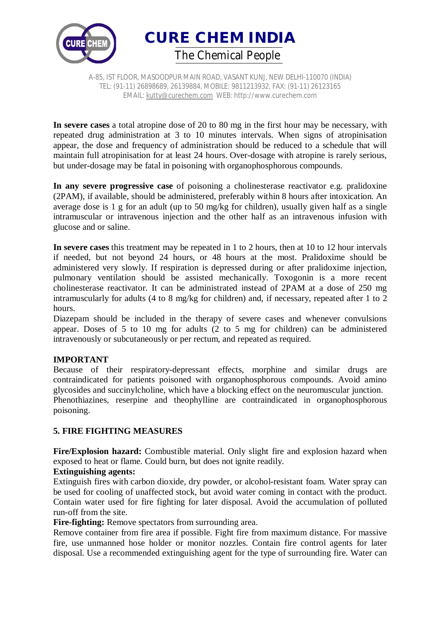



A-85, IST FLOOR, MASOODPUR MAIN ROAD, VASANT KUNJ, NEW DELHI-110070 (INDIA) TEL: (91-11) 26898689, 26139884, MOBILE: 9811213932, FAX: (91-11) 26123165 EMAIL: kutty@curechem.com WEB: http://www.curechem.com

**In severe cases** a total atropine dose of 20 to 80 mg in the first hour may be necessary, with repeated drug administration at 3 to 10 minutes intervals. When signs of atropinisation appear, the dose and frequency of administration should be reduced to a schedule that will maintain full atropinisation for at least 24 hours. Over-dosage with atropine is rarely serious, but under-dosage may be fatal in poisoning with organophosphorous compounds.

**In any severe progressive case** of poisoning a cholinesterase reactivator e.g. pralidoxine (2PAM), if available, should be administered, preferably within 8 hours after intoxication. An average dose is 1 g for an adult (up to 50 mg/kg for children), usually given half as a single intramuscular or intravenous injection and the other half as an intravenous infusion with glucose and or saline.

**In severe cases** this treatment may be repeated in 1 to 2 hours, then at 10 to 12 hour intervals if needed, but not beyond 24 hours, or 48 hours at the most. Pralidoxime should be administered very slowly. If respiration is depressed during or after pralidoxime injection, pulmonary ventilation should be assisted mechanically. Toxogonin is a more recent cholinesterase reactivator. It can be administrated instead of 2PAM at a dose of 250 mg intramuscularly for adults (4 to 8 mg/kg for children) and, if necessary, repeated after 1 to 2 hours.

Diazepam should be included in the therapy of severe cases and whenever convulsions appear. Doses of 5 to 10 mg for adults (2 to 5 mg for children) can be administered intravenously or subcutaneously or per rectum, and repeated as required.

#### **IMPORTANT**

Because of their respiratory-depressant effects, morphine and similar drugs are contraindicated for patients poisoned with organophosphorous compounds. Avoid amino glycosides and succinylcholine, which have a blocking effect on the neuromuscular junction. Phenothiazines, reserpine and theophylline are contraindicated in organophosphorous poisoning.

### **5. FIRE FIGHTING MEASURES**

**Fire/Explosion hazard:** Combustible material. Only slight fire and explosion hazard when exposed to heat or flame. Could burn, but does not ignite readily.

#### **Extinguishing agents:**

Extinguish fires with carbon dioxide, dry powder, or alcohol-resistant foam. Water spray can be used for cooling of unaffected stock, but avoid water coming in contact with the product. Contain water used for fire fighting for later disposal. Avoid the accumulation of polluted run-off from the site.

**Fire-fighting:** Remove spectators from surrounding area.

Remove container from fire area if possible. Fight fire from maximum distance. For massive fire, use unmanned hose holder or monitor nozzles. Contain fire control agents for later disposal. Use a recommended extinguishing agent for the type of surrounding fire. Water can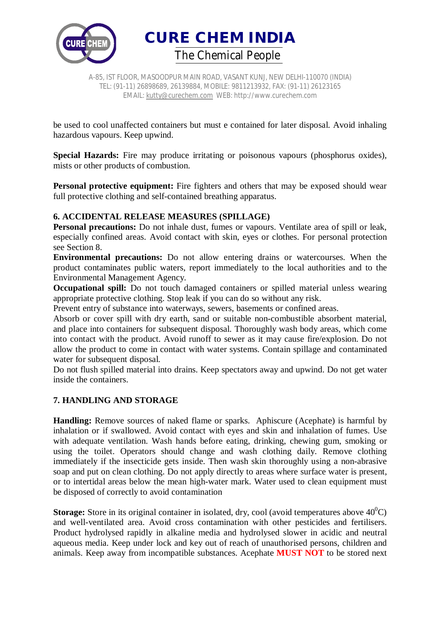

A-85, IST FLOOR, MASOODPUR MAIN ROAD, VASANT KUNJ, NEW DELHI-110070 (INDIA) TEL: (91-11) 26898689, 26139884, MOBILE: 9811213932, FAX: (91-11) 26123165 EMAIL: kutty@curechem.com WEB: http://www.curechem.com

be used to cool unaffected containers but must e contained for later disposal. Avoid inhaling hazardous vapours. Keep upwind.

Special Hazards: Fire may produce irritating or poisonous vapours (phosphorus oxides), mists or other products of combustion.

**Personal protective equipment:** Fire fighters and others that may be exposed should wear full protective clothing and self-contained breathing apparatus.

#### **6. ACCIDENTAL RELEASE MEASURES (SPILLAGE)**

**Personal precautions:** Do not inhale dust, fumes or vapours. Ventilate area of spill or leak, especially confined areas. Avoid contact with skin, eyes or clothes. For personal protection see Section 8.

**Environmental precautions:** Do not allow entering drains or watercourses. When the product contaminates public waters, report immediately to the local authorities and to the Environmental Management Agency.

**Occupational spill:** Do not touch damaged containers or spilled material unless wearing appropriate protective clothing. Stop leak if you can do so without any risk.

Prevent entry of substance into waterways, sewers, basements or confined areas.

Absorb or cover spill with dry earth, sand or suitable non-combustible absorbent material, and place into containers for subsequent disposal. Thoroughly wash body areas, which come into contact with the product. Avoid runoff to sewer as it may cause fire/explosion. Do not allow the product to come in contact with water systems. Contain spillage and contaminated water for subsequent disposal.

Do not flush spilled material into drains. Keep spectators away and upwind. Do not get water inside the containers.

### **7. HANDLING AND STORAGE**

**Handling:** Remove sources of naked flame or sparks. Aphiscure (Acephate) is harmful by inhalation or if swallowed. Avoid contact with eyes and skin and inhalation of fumes. Use with adequate ventilation. Wash hands before eating, drinking, chewing gum, smoking or using the toilet. Operators should change and wash clothing daily. Remove clothing immediately if the insecticide gets inside. Then wash skin thoroughly using a non-abrasive soap and put on clean clothing. Do not apply directly to areas where surface water is present, or to intertidal areas below the mean high-water mark. Water used to clean equipment must be disposed of correctly to avoid contamination

**Storage:** Store in its original container in isolated, dry, cool (avoid temperatures above  $40^{\circ}$ C) and well-ventilated area. Avoid cross contamination with other pesticides and fertilisers. Product hydrolysed rapidly in alkaline media and hydrolysed slower in acidic and neutral aqueous media. Keep under lock and key out of reach of unauthorised persons, children and animals. Keep away from incompatible substances. Acephate **MUST NOT** to be stored next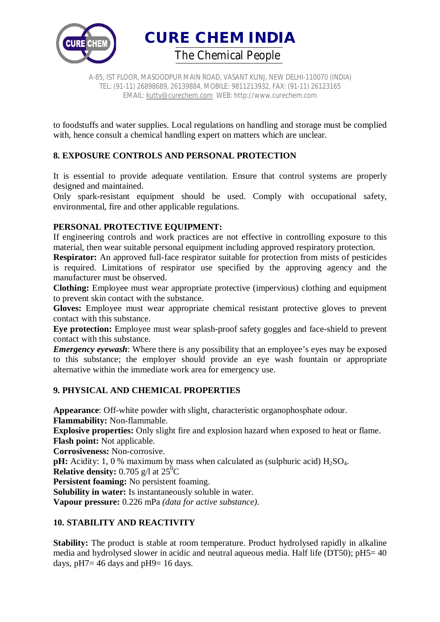

A-85, IST FLOOR, MASOODPUR MAIN ROAD, VASANT KUNJ, NEW DELHI-110070 (INDIA) TEL: (91-11) 26898689, 26139884, MOBILE: 9811213932, FAX: (91-11) 26123165 EMAIL: kutty@curechem.com WEB: http://www.curechem.com

to foodstuffs and water supplies. Local regulations on handling and storage must be complied with, hence consult a chemical handling expert on matters which are unclear.

# **8. EXPOSURE CONTROLS AND PERSONAL PROTECTION**

It is essential to provide adequate ventilation. Ensure that control systems are properly designed and maintained.

Only spark-resistant equipment should be used. Comply with occupational safety, environmental, fire and other applicable regulations.

### **PERSONAL PROTECTIVE EQUIPMENT:**

If engineering controls and work practices are not effective in controlling exposure to this material, then wear suitable personal equipment including approved respiratory protection.

**Respirator:** An approved full-face respirator suitable for protection from mists of pesticides is required. Limitations of respirator use specified by the approving agency and the manufacturer must be observed.

**Clothing:** Employee must wear appropriate protective (impervious) clothing and equipment to prevent skin contact with the substance.

**Gloves:** Employee must wear appropriate chemical resistant protective gloves to prevent contact with this substance.

**Eye protection:** Employee must wear splash-proof safety goggles and face-shield to prevent contact with this substance.

*Emergency eyewash*: Where there is any possibility that an employee's eyes may be exposed to this substance; the employer should provide an eye wash fountain or appropriate alternative within the immediate work area for emergency use.

### **9. PHYSICAL AND CHEMICAL PROPERTIES**

**Appearance**: Off-white powder with slight, characteristic organophosphate odour. **Flammability:** Non-flammable.

**Explosive properties:** Only slight fire and explosion hazard when exposed to heat or flame. **Flash point:** Not applicable.

**Corrosiveness:** Non-corrosive.

**pH:** Acidity: 1, 0 % maximum by mass when calculated as (sulphuric acid)  $H_2SO_4$ .

**Relative density:** 0.705 g/l at  $25^{\circ}$ C

**Persistent foaming:** No persistent foaming.

**Solubility in water:** Is instantaneously soluble in water.

**Vapour pressure:** 0.226 mPa *(data for active substance).*

### **10. STABILITY AND REACTIVITY**

**Stability:** The product is stable at room temperature. Product hydrolysed rapidly in alkaline media and hydrolysed slower in acidic and neutral aqueous media. Half life (DT50); pH5= 40 days,  $pH7 = 46$  days and  $pH9 = 16$  days.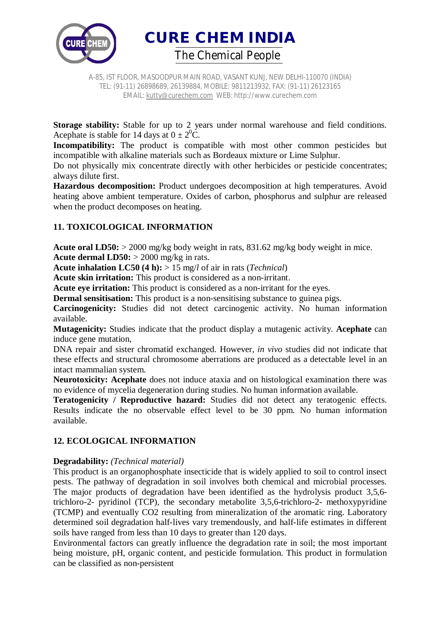

A-85, IST FLOOR, MASOODPUR MAIN ROAD, VASANT KUNJ, NEW DELHI-110070 (INDIA) TEL: (91-11) 26898689, 26139884, MOBILE: 9811213932, FAX: (91-11) 26123165 EMAIL: kutty@curechem.com WEB: http://www.curechem.com

**Storage stability:** Stable for up to 2 years under normal warehouse and field conditions. Acephate is stable for 14 days at  $0 \pm 2^0C$ .

**Incompatibility:** The product is compatible with most other common pesticides but incompatible with alkaline materials such as Bordeaux mixture or Lime Sulphur.

Do not physically mix concentrate directly with other herbicides or pesticide concentrates; always dilute first.

**Hazardous decomposition:** Product undergoes decomposition at high temperatures. Avoid heating above ambient temperature. Oxides of carbon, phosphorus and sulphur are released when the product decomposes on heating.

# **11. TOXICOLOGICAL INFORMATION**

**Acute oral LD50:** > 2000 mg/kg body weight in rats, 831.62 mg/kg body weight in mice. **Acute dermal LD50:** > 2000 mg/kg in rats.

**Acute inhalation LC50 (4 h):** > 15 mg/*l* of air in rats (*Technical*)

**Acute skin irritation:** This product is considered as a non-irritant.

**Acute eye irritation:** This product is considered as a non-irritant for the eyes.

**Dermal sensitisation:** This product is a non-sensitising substance to guinea pigs.

**Carcinogenicity:** Studies did not detect carcinogenic activity. No human information available.

**Mutagenicity:** Studies indicate that the product display a mutagenic activity. **Acephate** can induce gene mutation,

DNA repair and sister chromatid exchanged. However, *in vivo* studies did not indicate that these effects and structural chromosome aberrations are produced as a detectable level in an intact mammalian system.

**Neurotoxicity: Acephate** does not induce ataxia and on histological examination there was no evidence of mycelia degeneration during studies. No human information available.

**Teratogenicity / Reproductive hazard:** Studies did not detect any teratogenic effects. Results indicate the no observable effect level to be 30 ppm. No human information available.

## **12. ECOLOGICAL INFORMATION**

#### **Degradability:** *(Technical material)*

This product is an organophosphate insecticide that is widely applied to soil to control insect pests. The pathway of degradation in soil involves both chemical and microbial processes. The major products of degradation have been identified as the hydrolysis product 3,5,6 trichloro-2- pyridinol (TCP), the secondary metabolite 3,5,6-trichloro-2- methoxypyridine (TCMP) and eventually CO2 resulting from mineralization of the aromatic ring. Laboratory determined soil degradation half-lives vary tremendously, and half-life estimates in different soils have ranged from less than 10 days to greater than 120 days.

Environmental factors can greatly influence the degradation rate in soil; the most important being moisture, pH, organic content, and pesticide formulation. This product in formulation can be classified as non-persistent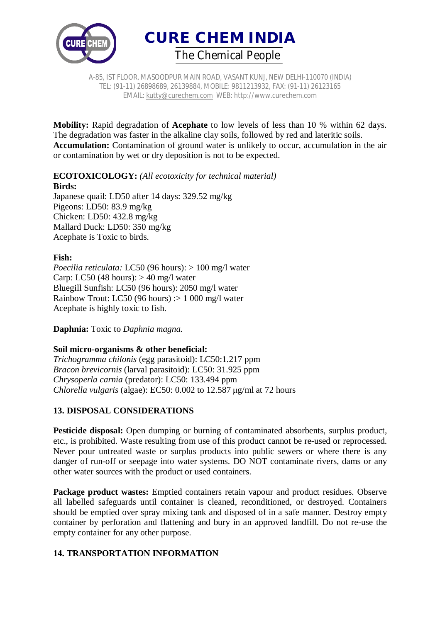



A-85, IST FLOOR, MASOODPUR MAIN ROAD, VASANT KUNJ, NEW DELHI-110070 (INDIA) TEL: (91-11) 26898689, 26139884, MOBILE: 9811213932, FAX: (91-11) 26123165 EMAIL: kutty@curechem.com WEB: http://www.curechem.com

**Mobility:** Rapid degradation of **Acephate** to low levels of less than 10 % within 62 days. The degradation was faster in the alkaline clay soils, followed by red and lateritic soils. **Accumulation:** Contamination of ground water is unlikely to occur, accumulation in the air or contamination by wet or dry deposition is not to be expected.

### **ECOTOXICOLOGY:** *(All ecotoxicity for technical material)* **Birds:**

Japanese quail: LD50 after 14 days: 329.52 mg/kg Pigeons: LD50: 83.9 mg/kg Chicken: LD50: 432.8 mg/kg Mallard Duck: LD50: 350 mg/kg Acephate is Toxic to birds.

## **Fish:**

*Poecilia reticulata:* LC50 (96 hours): > 100 mg/l water Carp: LC50 (48 hours):  $> 40$  mg/l water Bluegill Sunfish: LC50 (96 hours): 2050 mg/l water Rainbow Trout: LC50 (96 hours) :> 1 000 mg/l water Acephate is highly toxic to fish.

**Daphnia:** Toxic to *Daphnia magna.*

### **Soil micro-organisms & other beneficial:**

*Trichogramma chilonis* (egg parasitoid): LC50:1.217 ppm *Bracon brevicornis* (larval parasitoid): LC50: 31.925 ppm *Chrysoperla carnia* (predator): LC50: 133.494 ppm *Chlorella vulgaris* (algae): EC50: 0.002 to 12.587 μg/ml at 72 hours

# **13. DISPOSAL CONSIDERATIONS**

**Pesticide disposal:** Open dumping or burning of contaminated absorbents, surplus product, etc., is prohibited. Waste resulting from use of this product cannot be re-used or reprocessed. Never pour untreated waste or surplus products into public sewers or where there is any danger of run-off or seepage into water systems. DO NOT contaminate rivers, dams or any other water sources with the product or used containers.

**Package product wastes:** Emptied containers retain vapour and product residues. Observe all labelled safeguards until container is cleaned, reconditioned, or destroyed. Containers should be emptied over spray mixing tank and disposed of in a safe manner. Destroy empty container by perforation and flattening and bury in an approved landfill. Do not re-use the empty container for any other purpose.

# **14. TRANSPORTATION INFORMATION**